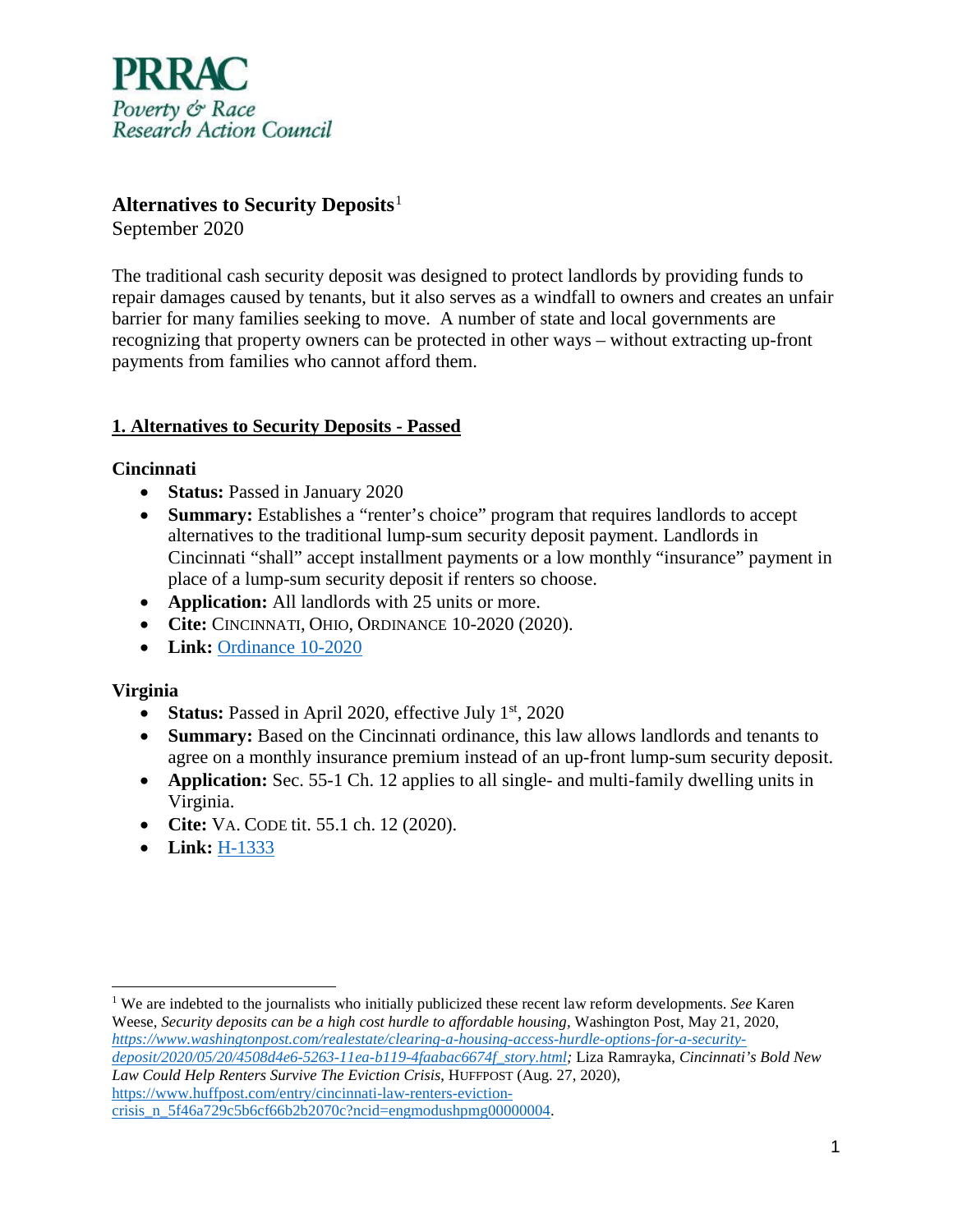

# **Alternatives to Security Deposits**[1](#page-0-0)

September 2020

The traditional cash security deposit was designed to protect landlords by providing funds to repair damages caused by tenants, but it also serves as a windfall to owners and creates an unfair barrier for many families seeking to move. A number of state and local governments are recognizing that property owners can be protected in other ways – without extracting up-front payments from families who cannot afford them.

## **1. Alternatives to Security Deposits - Passed**

## **Cincinnati**

- **Status:** Passed in January 2020
- **Summary:** Establishes a "renter's choice" program that requires landlords to accept alternatives to the traditional lump-sum security deposit payment. Landlords in Cincinnati "shall" accept installment payments or a low monthly "insurance" payment in place of a lump-sum security deposit if renters so choose.
- **Application:** All landlords with 25 units or more.
- **Cite:** CINCINNATI, OHIO, ORDINANCE 10-2020 (2020).
- **Link:** [Ordinance 10-2020](https://city-egov2.cincinnati-oh.gov/Webtop/ws/council/public/child/Blob/55479.pdf?rpp=-10&w=doc_no%3D%27202000057%27&m=2)

## **Virginia**

- **Status:** Passed in April 2020, effective July 1<sup>st</sup>, 2020
- **Summary:** Based on the Cincinnati ordinance, this law allows landlords and tenants to agree on a monthly insurance premium instead of an up-front lump-sum security deposit.
- **Application:** Sec. 55-1 Ch. 12 applies to all single- and multi-family dwelling units in Virginia.
- **Cite:** VA. CODE tit. 55.1 ch. 12 (2020).
- **Link:** [H-1333](https://lis.virginia.gov/cgi-bin/legp604.exe?201+ful+CHAP0998)

*[deposit/2020/05/20/4508d4e6-5263-11ea-b119-4faabac6674f\\_story.html;](https://www.washingtonpost.com/realestate/clearing-a-housing-access-hurdle-options-for-a-security-deposit/2020/05/20/4508d4e6-5263-11ea-b119-4faabac6674f_story.html)* Liza Ramrayka, *Cincinnati's Bold New Law Could Help Renters Survive The Eviction Crisis*, HUFFPOST (Aug. 27, 2020), [https://www.huffpost.com/entry/cincinnati-law-renters-eviction-](https://www.huffpost.com/entry/cincinnati-law-renters-eviction-crisis_n_5f46a729c5b6cf66b2b2070c?ncid=engmodushpmg00000004)

<span id="page-0-0"></span> $\overline{a}$ <sup>1</sup> We are indebted to the journalists who initially publicized these recent law reform developments. *See* Karen Weese, *Security deposits can be a high cost hurdle to affordable housing,* Washington Post, May 21, 2020, *[https://www.washingtonpost.com/realestate/clearing-a-housing-access-hurdle-options-for-a-security-](https://www.washingtonpost.com/realestate/clearing-a-housing-access-hurdle-options-for-a-security-deposit/2020/05/20/4508d4e6-5263-11ea-b119-4faabac6674f_story.html)*

[crisis\\_n\\_5f46a729c5b6cf66b2b2070c?ncid=engmodushpmg00000004.](https://www.huffpost.com/entry/cincinnati-law-renters-eviction-crisis_n_5f46a729c5b6cf66b2b2070c?ncid=engmodushpmg00000004)